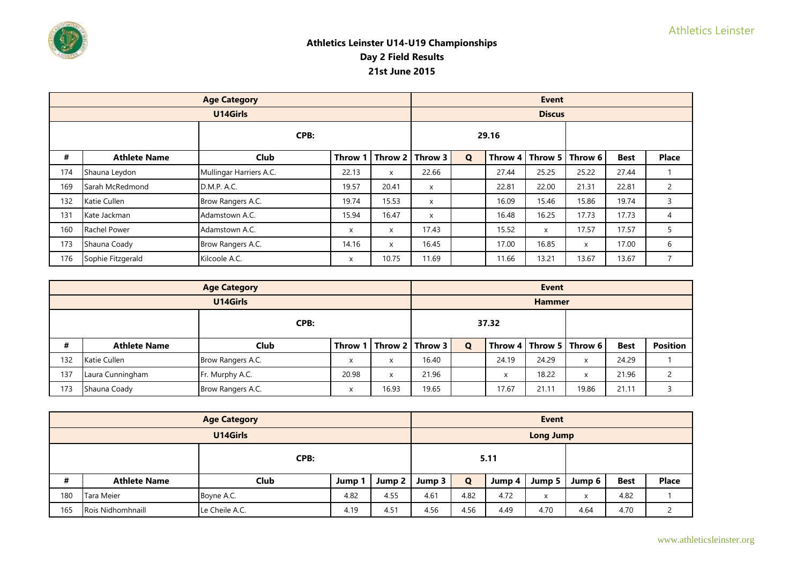

|     |                                                     | <b>Age Category</b>     |       |                 |          |             |       | <b>Event</b>      |         |             |                |
|-----|-----------------------------------------------------|-------------------------|-------|-----------------|----------|-------------|-------|-------------------|---------|-------------|----------------|
|     |                                                     | U14Girls                |       |                 |          |             |       | <b>Discus</b>     |         |             |                |
|     | CPB:<br>#<br>Club<br><b>Athlete Name</b><br>Throw 1 |                         |       |                 |          |             | 29.16 |                   |         |             |                |
|     |                                                     |                         |       | $ $ Throw 2 $ $ | Throw 3  | $\mathbf Q$ |       | Throw 4   Throw 5 | Throw 6 | <b>Best</b> | <b>Place</b>   |
| 174 | Shauna Leydon                                       | Mullingar Harriers A.C. | 22.13 | X               | 22.66    |             | 27.44 | 25.25             | 25.22   | 27.44       |                |
| 169 | Sarah McRedmond                                     | D.M.P. A.C.             | 19.57 | 20.41           | $\times$ |             | 22.81 | 22.00             | 21.31   | 22.81       | $\overline{2}$ |
| 132 | Katie Cullen                                        | Brow Rangers A.C.       | 19.74 | 15.53           | $\times$ |             | 16.09 | 15.46             | 15.86   | 19.74       | 3              |
| 131 | Kate Jackman                                        | Adamstown A.C.          | 15.94 | 16.47           | $\times$ |             | 16.48 | 16.25             | 17.73   | 17.73       | 4              |
| 160 | Rachel Power                                        | Adamstown A.C.          | X     | x               | 17.43    |             | 15.52 | X                 | 17.57   | 17.57       | 5              |
| 173 | Shauna Coady                                        | Brow Rangers A.C.       | 14.16 | X               | 16.45    |             | 17.00 | 16.85             | X       | 17.00       | 6              |
| 176 | Sophie Fitzgerald                                   | Kilcoole A.C.           | X     | 10.75           | 11.69    |             | 11.66 | 13.21             | 13.67   | 13.67       | $\overline{7}$ |

|      |                     | <b>Age Category</b> |                         |       |                             |             |                   | <b>Event</b>  |                             |             |                 |
|------|---------------------|---------------------|-------------------------|-------|-----------------------------|-------------|-------------------|---------------|-----------------------------|-------------|-----------------|
|      |                     | U14Girls            |                         |       |                             |             |                   | <b>Hammer</b> |                             |             |                 |
| CPB: |                     |                     |                         | 37.32 |                             |             |                   |               |                             |             |                 |
| #    | <b>Athlete Name</b> | <b>Club</b>         |                         |       | Throw 1   Throw 2   Throw 3 | $\mathbf Q$ |                   |               | Throw 4   Throw 5   Throw 6 | <b>Best</b> | <b>Position</b> |
| 132  | Katie Cullen        | Brow Rangers A.C.   | $\overline{\mathbf{v}}$ | X     | 16.40                       |             | 24.19             | 24.29         | X                           | 24.29       |                 |
| 137  | Laura Cunningham    | Fr. Murphy A.C.     | 20.98                   | X     | 21.96                       |             | $\checkmark$<br>⋏ | 18.22         | X                           | 21.96       |                 |
| 173  | Shauna Coady        | Brow Rangers A.C.   | $\mathbf{v}$            | 16.93 | 19.65                       |             | 17.67             | 21.11         | 19.86                       | 21.11       |                 |

|                                                           |                     | <b>Age Category</b> |      |        |        |             |        | Event                     |        |             |              |
|-----------------------------------------------------------|---------------------|---------------------|------|--------|--------|-------------|--------|---------------------------|--------|-------------|--------------|
|                                                           |                     | U14Girls            |      |        |        |             |        | <b>Long Jump</b>          |        |             |              |
| CPB:                                                      |                     |                     |      | 5.11   |        |             |        |                           |        |             |              |
| #                                                         | <b>Athlete Name</b> | Club                | Jump | Jump 2 | Jump 3 | $\mathbf Q$ | Jump 4 | Jump 5                    | Jump 6 | <b>Best</b> | <b>Place</b> |
| 180                                                       | Tara Meier          | Boyne A.C.          | 4.82 | 4.55   | 4.61   | 4.82        | 4.72   | $\checkmark$<br>$\lambda$ | X      | 4.82        |              |
| 165<br><b>Rois Nidhomhnaill</b><br>4.19<br>Le Cheile A.C. |                     |                     | 4.51 | 4.56   | 4.56   | 4.49        | 4.70   | 4.64                      | 4.70   |             |              |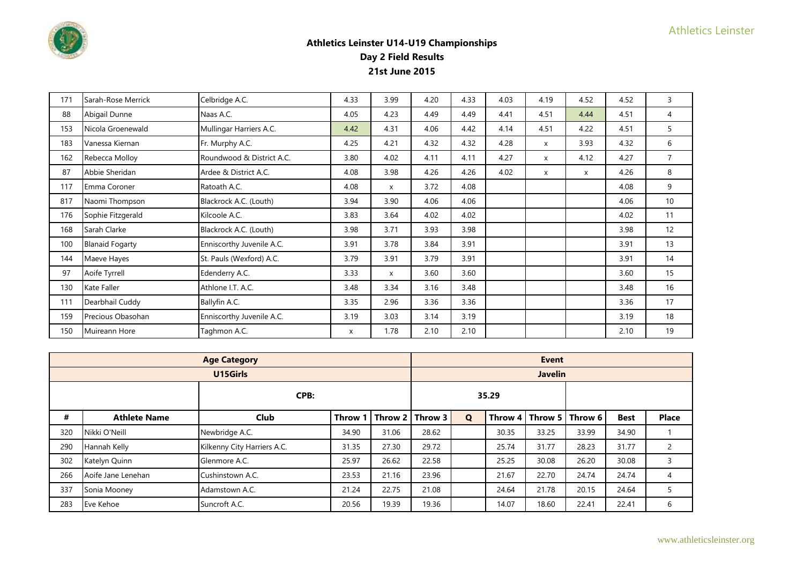

| 171 | Sarah-Rose Merrick     | Celbridge A.C.            | 4.33 | 3.99         | 4.20 | 4.33 | 4.03 | 4.19 | 4.52 | 4.52 | 3              |
|-----|------------------------|---------------------------|------|--------------|------|------|------|------|------|------|----------------|
| 88  | Abigail Dunne          | Naas A.C.                 | 4.05 | 4.23         | 4.49 | 4.49 | 4.41 | 4.51 | 4.44 | 4.51 | 4              |
| 153 | Nicola Groenewald      | Mullingar Harriers A.C.   | 4.42 | 4.31         | 4.06 | 4.42 | 4.14 | 4.51 | 4.22 | 4.51 | 5              |
| 183 | Vanessa Kiernan        | Fr. Murphy A.C.           | 4.25 | 4.21         | 4.32 | 4.32 | 4.28 | X    | 3.93 | 4.32 | 6              |
| 162 | Rebecca Molloy         | Roundwood & District A.C. | 3.80 | 4.02         | 4.11 | 4.11 | 4.27 | X    | 4.12 | 4.27 | $\overline{7}$ |
| 87  | Abbie Sheridan         | Ardee & District A.C.     | 4.08 | 3.98         | 4.26 | 4.26 | 4.02 | X    | X    | 4.26 | 8              |
| 117 | Emma Coroner           | Ratoath A.C.              | 4.08 | $\mathsf{x}$ | 3.72 | 4.08 |      |      |      | 4.08 | 9              |
| 817 | Naomi Thompson         | Blackrock A.C. (Louth)    | 3.94 | 3.90         | 4.06 | 4.06 |      |      |      | 4.06 | 10             |
| 176 | Sophie Fitzgerald      | Kilcoole A.C.             | 3.83 | 3.64         | 4.02 | 4.02 |      |      |      | 4.02 | 11             |
| 168 | Sarah Clarke           | Blackrock A.C. (Louth)    | 3.98 | 3.71         | 3.93 | 3.98 |      |      |      | 3.98 | 12             |
| 100 | <b>Blanaid Fogarty</b> | Enniscorthy Juvenile A.C. | 3.91 | 3.78         | 3.84 | 3.91 |      |      |      | 3.91 | 13             |
| 144 | Maeve Hayes            | St. Pauls (Wexford) A.C.  | 3.79 | 3.91         | 3.79 | 3.91 |      |      |      | 3.91 | 14             |
| 97  | Aoife Tyrrell          | Edenderry A.C.            | 3.33 | $\mathsf{x}$ | 3.60 | 3.60 |      |      |      | 3.60 | 15             |
| 130 | Kate Faller            | Athlone I.T. A.C.         | 3.48 | 3.34         | 3.16 | 3.48 |      |      |      | 3.48 | 16             |
| 111 | Dearbhail Cuddy        | Ballyfin A.C.             | 3.35 | 2.96         | 3.36 | 3.36 |      |      |      | 3.36 | 17             |
| 159 | Precious Obasohan      | Enniscorthy Juvenile A.C. | 3.19 | 3.03         | 3.14 | 3.19 |      |      |      | 3.19 | 18             |
| 150 | Muireann Hore          | Taghmon A.C.              | X    | 1.78         | 2.10 | 2.10 |      |      |      | 2.10 | 19             |

|     |                     |                             | <b>Event</b> |       |                   |   |       |                |                             |             |              |
|-----|---------------------|-----------------------------|--------------|-------|-------------------|---|-------|----------------|-----------------------------|-------------|--------------|
|     |                     | U15Girls                    |              |       |                   |   |       | <b>Javelin</b> |                             |             |              |
|     |                     | CPB:                        |              |       |                   |   | 35.29 |                |                             |             |              |
| #   | <b>Athlete Name</b> | <b>Club</b>                 | Throw 1      |       | Throw 2   Throw 3 | Q |       |                | Throw 4   Throw 5   Throw 6 | <b>Best</b> | <b>Place</b> |
| 320 | Nikki O'Neill       | Newbridge A.C.              | 34.90        | 31.06 | 28.62             |   | 30.35 | 33.25          | 33.99                       | 34.90       |              |
| 290 | Hannah Kelly        | Kilkenny City Harriers A.C. | 31.35        | 27.30 | 29.72             |   | 25.74 | 31.77          | 28.23                       | 31.77       |              |
| 302 | Katelyn Quinn       | Glenmore A.C.               | 25.97        | 26.62 | 22.58             |   | 25.25 | 30.08          | 26.20                       | 30.08       | 3            |
| 266 | Aoife Jane Lenehan  | Cushinstown A.C.            | 23.53        | 21.16 | 23.96             |   | 21.67 | 22.70          | 24.74                       | 24.74       | 4            |
| 337 | Sonia Mooney        | Adamstown A.C.              | 21.24        | 22.75 | 21.08             |   | 24.64 | 21.78          | 20.15                       | 24.64       |              |
| 283 | Eve Kehoe           | Suncroft A.C.               | 20.56        | 19.39 | 19.36             |   | 14.07 | 18.60          | 22.41                       | 22.41       | 6            |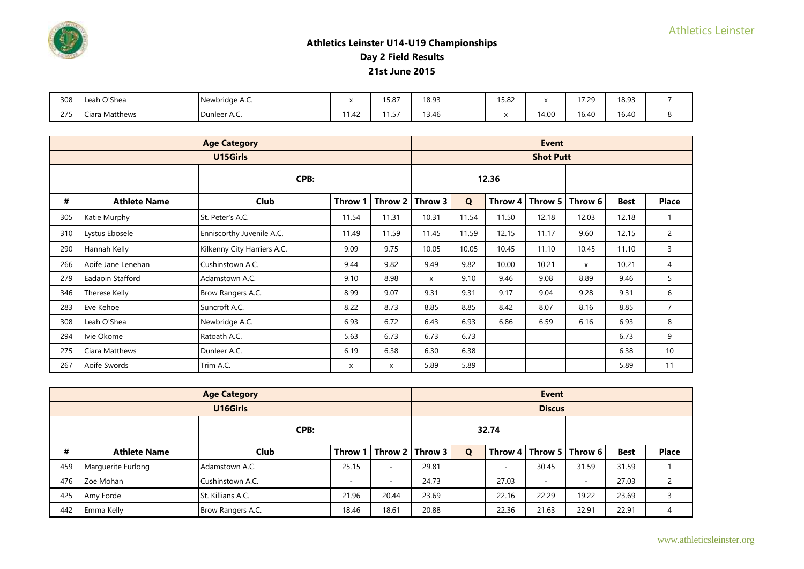

| 308 | O'Shea<br>Leah l | Newbridge A.C. |                        | 1 F 0 7<br>0.0، د. | 18.93 | 15.82 |       | 17.20<br>ت ے ، ا | 18.93 |  |
|-----|------------------|----------------|------------------------|--------------------|-------|-------|-------|------------------|-------|--|
| 275 | Ciara Matthews   | Dunleer A.C.   | $\overline{ }$<br>1.42 | .<br>ر. ا          | 13.46 |       | 14.00 | 16.40            | 16.40 |  |

|     |                     | <b>Age Category</b>         |         |         |         |             |       | <b>Event</b>      |         |             |                 |
|-----|---------------------|-----------------------------|---------|---------|---------|-------------|-------|-------------------|---------|-------------|-----------------|
|     |                     | U15Girls                    |         |         |         |             |       | <b>Shot Putt</b>  |         |             |                 |
|     |                     | CPB:                        |         |         |         |             | 12.36 |                   |         |             |                 |
| #   | <b>Athlete Name</b> | Club                        | Throw 1 | Throw 2 | Throw 3 | $\mathbf Q$ |       | Throw 4   Throw 5 | Throw 6 | <b>Best</b> | <b>Place</b>    |
| 305 | Katie Murphy        | St. Peter's A.C.            | 11.54   | 11.31   | 10.31   | 11.54       | 11.50 | 12.18             | 12.03   | 12.18       | $\mathbf{1}$    |
| 310 | Lystus Ebosele      | Enniscorthy Juvenile A.C.   | 11.49   | 11.59   | 11.45   | 11.59       | 12.15 | 11.17             | 9.60    | 12.15       | $\overline{c}$  |
| 290 | Hannah Kelly        | Kilkenny City Harriers A.C. | 9.09    | 9.75    | 10.05   | 10.05       | 10.45 | 11.10             | 10.45   | 11.10       | 3               |
| 266 | Aoife Jane Lenehan  | Cushinstown A.C.            | 9.44    | 9.82    | 9.49    | 9.82        | 10.00 | 10.21             | X       | 10.21       | 4               |
| 279 | Eadaoin Stafford    | Adamstown A.C.              | 9.10    | 8.98    | X       | 9.10        | 9.46  | 9.08              | 8.89    | 9.46        | 5               |
| 346 | Therese Kelly       | Brow Rangers A.C.           | 8.99    | 9.07    | 9.31    | 9.31        | 9.17  | 9.04              | 9.28    | 9.31        | 6               |
| 283 | Eve Kehoe           | Suncroft A.C.               | 8.22    | 8.73    | 8.85    | 8.85        | 8.42  | 8.07              | 8.16    | 8.85        | $\overline{7}$  |
| 308 | Leah O'Shea         | Newbridge A.C.              | 6.93    | 6.72    | 6.43    | 6.93        | 6.86  | 6.59              | 6.16    | 6.93        | 8               |
| 294 | Ivie Okome          | Ratoath A.C.                | 5.63    | 6.73    | 6.73    | 6.73        |       |                   |         | 6.73        | 9               |
| 275 | Ciara Matthews      | Dunleer A.C.                | 6.19    | 6.38    | 6.30    | 6.38        |       |                   |         | 6.38        | 10 <sup>°</sup> |
| 267 | Aoife Swords        | Trim A.C.                   | x       | x       | 5.89    | 5.89        |       |                   |         | 5.89        | 11              |

|      |                     | <b>Age Category</b> |       |                          | <b>Event</b>                |             |       |                          |                             |             |              |  |
|------|---------------------|---------------------|-------|--------------------------|-----------------------------|-------------|-------|--------------------------|-----------------------------|-------------|--------------|--|
|      |                     | U16Girls            |       |                          |                             |             |       | <b>Discus</b>            |                             |             |              |  |
| CPB: |                     |                     |       |                          |                             |             | 32.74 |                          |                             |             |              |  |
| #    | <b>Athlete Name</b> | Club                |       |                          | Throw 1   Throw 2   Throw 3 | $\mathbf Q$ |       |                          | Throw 4   Throw 5   Throw 6 | <b>Best</b> | <b>Place</b> |  |
| 459  | Marquerite Furlong  | Adamstown A.C.      | 25.15 | $\overline{\phantom{a}}$ | 29.81                       |             |       | 30.45                    | 31.59                       | 31.59       |              |  |
| 476  | Zoe Mohan           | Cushinstown A.C.    |       | -                        | 24.73                       |             | 27.03 | $\overline{\phantom{a}}$ | -                           | 27.03       |              |  |
| 425  | Amy Forde           | St. Killians A.C.   | 21.96 | 20.44                    | 23.69                       |             | 22.16 | 22.29                    | 19.22                       | 23.69       |              |  |
| 442  | Emma Kelly          | Brow Rangers A.C.   | 18.46 | 18.61                    | 20.88                       |             | 22.36 | 21.63                    | 22.91                       | 22.91       | 4            |  |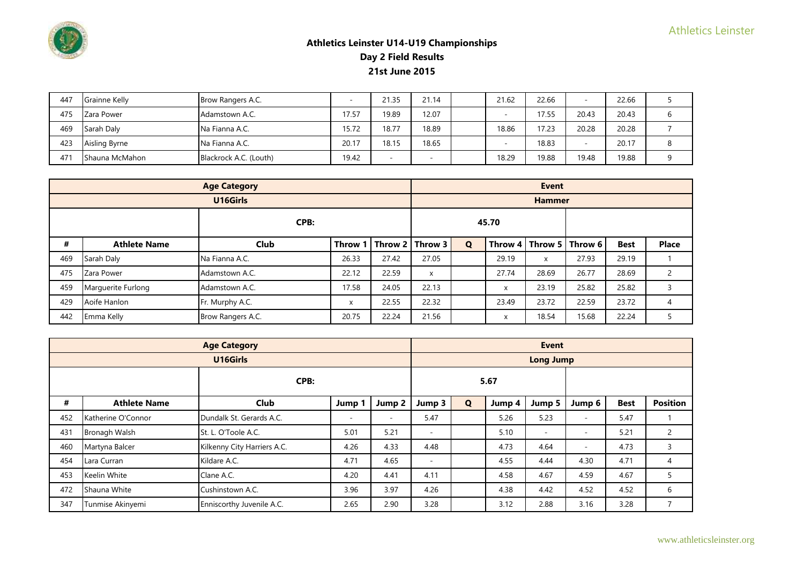

| 447             | Grainne Kelly         | Brow Rangers A.C.      |       | 21.35 | 21.14 | 21.62 | 22.66 |       | 22.66 |   |
|-----------------|-----------------------|------------------------|-------|-------|-------|-------|-------|-------|-------|---|
| 475             | Zara Power            | Adamstown A.C.         | 17.57 | 19.89 | 12.07 |       | 17.55 | 20.43 | 20.43 | h |
| 469             | Sarah Daly            | Na Fianna A.C.         | 15.72 | 18.77 | 18.89 | 18.86 | 17.23 | 20.28 | 20.28 |   |
| 423             | Aisling Byrne         | Na Fianna A.C.         | 20.17 | 18.15 | 18.65 |       | 18.83 |       | 20.17 |   |
| 47 <sup>°</sup> | <b>Shauna McMahon</b> | Blackrock A.C. (Louth) | 19.42 | ۰     |       | 18.29 | 19.88 | 19.48 | 19.88 |   |

|      |                     | <b>Age Category</b> |         |                 | <b>Event</b> |             |       |               |                             |             |              |  |
|------|---------------------|---------------------|---------|-----------------|--------------|-------------|-------|---------------|-----------------------------|-------------|--------------|--|
|      |                     | U16Girls            |         |                 |              |             |       | <b>Hammer</b> |                             |             |              |  |
| CPB: |                     |                     |         |                 |              |             | 45.70 |               |                             |             |              |  |
| #    | <b>Athlete Name</b> | <b>Club</b>         | Throw 1 | $ $ Throw 2 $ $ | Throw 3      | $\mathbf Q$ |       |               | Throw 4   Throw 5   Throw 6 | <b>Best</b> | <b>Place</b> |  |
| 469  | Sarah Daly          | Na Fianna A.C.      | 26.33   | 27.42           | 27.05        |             | 29.19 | X             | 27.93                       | 29.19       |              |  |
| 475  | Zara Power          | Adamstown A.C.      | 22.12   | 22.59           | X            |             | 27.74 | 28.69         | 26.77                       | 28.69       |              |  |
| 459  | Marquerite Furlong  | Adamstown A.C.      | 17.58   | 24.05           | 22.13        |             | X     | 23.19         | 25.82                       | 25.82       |              |  |
| 429  | Aoife Hanlon        | Fr. Murphy A.C.     | X       | 22.55           | 22.32        |             | 23.49 | 23.72         | 22.59                       | 23.72       | 4            |  |
| 442  | Emma Kelly          | Brow Rangers A.C.   | 20.75   | 22.24           | 21.56        |             | X     | 18.54         | 15.68                       | 22.24       |              |  |

|     | <b>Age Category</b> |                             |                          |                          |                          |             |        | <b>Event</b>             |                          |             |                 |
|-----|---------------------|-----------------------------|--------------------------|--------------------------|--------------------------|-------------|--------|--------------------------|--------------------------|-------------|-----------------|
|     |                     | U16Girls                    |                          |                          |                          |             |        | <b>Long Jump</b>         |                          |             |                 |
|     |                     | CPB:                        |                          |                          |                          |             | 5.67   |                          |                          |             |                 |
| #   | <b>Athlete Name</b> | Club                        | Jump 1                   | Jump 2                   | Jump 3                   | $\mathbf Q$ | Jump 4 | Jump 5                   | Jump 6                   | <b>Best</b> | <b>Position</b> |
| 452 | Katherine O'Connor  | Dundalk St. Gerards A.C.    | $\overline{\phantom{a}}$ | $\overline{\phantom{a}}$ | 5.47                     |             | 5.26   | 5.23                     | $\overline{\phantom{a}}$ | 5.47        |                 |
| 431 | Bronagh Walsh       | St. L. O'Toole A.C.         | 5.01                     | 5.21                     | $\overline{\phantom{a}}$ |             | 5.10   | $\overline{\phantom{a}}$ | $\overline{\phantom{a}}$ | 5.21        | $\mathbf{2}$    |
| 460 | Martyna Balcer      | Kilkenny City Harriers A.C. | 4.26                     | 4.33                     | 4.48                     |             | 4.73   | 4.64                     | $\overline{\phantom{a}}$ | 4.73        | 3               |
| 454 | Lara Curran         | Kildare A.C.                | 4.71                     | 4.65                     | $\overline{\phantom{a}}$ |             | 4.55   | 4.44                     | 4.30                     | 4.71        | 4               |
| 453 | Keelin White        | Clane A.C.                  | 4.20                     | 4.41                     | 4.11                     |             | 4.58   | 4.67                     | 4.59                     | 4.67        | 5               |
| 472 | Shauna White        | Cushinstown A.C.            | 3.96                     | 3.97                     | 4.26                     |             | 4.38   | 4.42                     | 4.52                     | 4.52        | 6               |
| 347 | Tunmise Akinyemi    | Enniscorthy Juvenile A.C.   | 2.65                     | 2.90                     | 3.28                     |             | 3.12   | 2.88                     | 3.16                     | 3.28        |                 |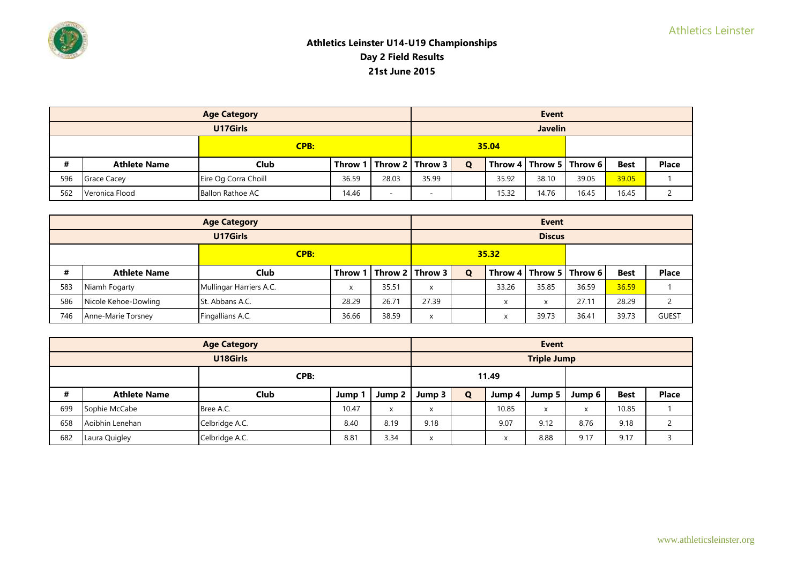

|             |                     | <b>Age Category</b>     |            |       |                             |   |       | <b>Event</b>   |                             |             |              |
|-------------|---------------------|-------------------------|------------|-------|-----------------------------|---|-------|----------------|-----------------------------|-------------|--------------|
|             |                     | U17Girls                |            |       |                             |   |       | <b>Javelin</b> |                             |             |              |
| <b>CPB:</b> |                     |                         |            | 35.04 |                             |   |       |                |                             |             |              |
| #           | <b>Athlete Name</b> | Club                    |            |       | Throw 1   Throw 2   Throw 3 | Q |       |                | Throw 4   Throw 5   Throw 6 | <b>Best</b> | <b>Place</b> |
| 596         | <b>Grace Cacey</b>  | Eire Og Corra Choill    | 36.59      | 28.03 | 35.99                       |   | 35.92 | 38.10          | 39.05                       | 39.05       |              |
| 562         | Veronica Flood      | <b>Ballon Rathoe AC</b> | 14.46<br>- |       |                             |   | 15.32 | 14.76          | 16.45                       | 16.45       |              |

|      |                      | <b>Age Category</b>     |                |       | <b>Event</b>          |             |              |               |                             |             |              |  |
|------|----------------------|-------------------------|----------------|-------|-----------------------|-------------|--------------|---------------|-----------------------------|-------------|--------------|--|
|      |                      | U17Girls                |                |       |                       |             |              | <b>Discus</b> |                             |             |              |  |
| CPB: |                      |                         |                | 35.32 |                       |             |              |               |                             |             |              |  |
| #    | <b>Athlete Name</b>  | Club                    | Throw 1        |       | l I Throw 2   Throw 3 | $\mathbf Q$ |              |               | Throw 4   Throw 5   Throw 6 | <b>Best</b> | <b>Place</b> |  |
| 583  | Niamh Fogarty        | Mullingar Harriers A.C. |                | 35.51 | x                     |             | 33.26        | 35.85         | 36.59                       | 36.59       |              |  |
| 586  | Nicole Kehoe-Dowling | St. Abbans A.C.         | 28.29          | 26.71 | 27.39                 |             | $\mathbf{v}$ | X             | 27.11                       | 28.29       |              |  |
| 746  | Anne-Marie Torsney   | Fingallians A.C.        | 36.66<br>38.59 |       | x                     |             |              | 39.73         | 36.41                       | 39.73       | <b>GUEST</b> |  |

|      |                     | <b>Age Category</b> |       |        | Event  |              |        |                    |        |             |              |  |
|------|---------------------|---------------------|-------|--------|--------|--------------|--------|--------------------|--------|-------------|--------------|--|
|      |                     | U18Girls            |       |        |        |              |        | <b>Triple Jump</b> |        |             |              |  |
| CPB: |                     |                     |       | 11.49  |        |              |        |                    |        |             |              |  |
| #    | <b>Athlete Name</b> | <b>Club</b>         | Jump  | Jump 2 | Jump 3 | $\mathbf{o}$ | Jump 4 | Jump 5             | Jump 6 | <b>Best</b> | <b>Place</b> |  |
| 699  | Sophie McCabe       | Bree A.C.           | 10.47 | X      | X      |              | 10.85  | X                  | X      | 10.85       |              |  |
| 658  | Aoibhin Lenehan     | Celbridge A.C.      | 8.40  | 8.19   | 9.18   |              | 9.07   | 9.12               | 8.76   | 9.18        |              |  |
| 682  | Laura Quigley       | Celbridge A.C.      | 8.81  | 3.34   | X      |              |        | 8.88               | 9.17   | 9.17        |              |  |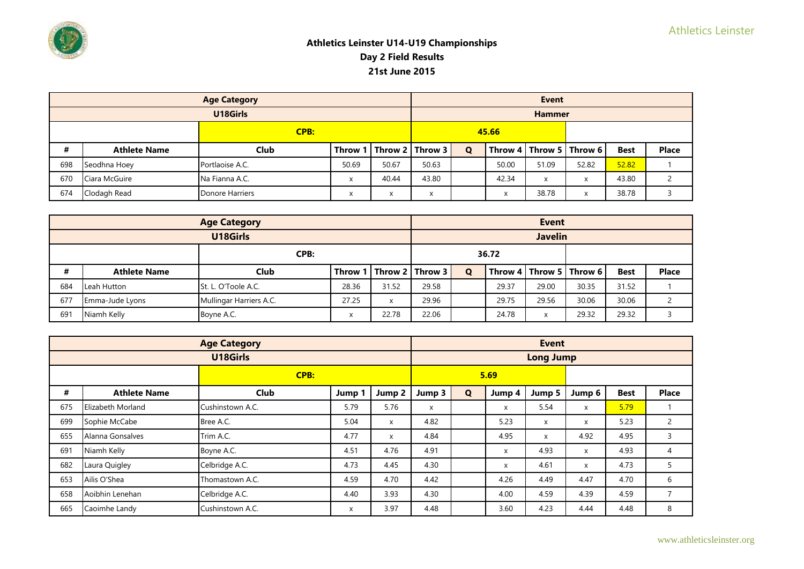

|      |                     | <b>Age Category</b>                                                               |       |       | <b>Event</b>                |   |       |               |                             |             |              |  |
|------|---------------------|-----------------------------------------------------------------------------------|-------|-------|-----------------------------|---|-------|---------------|-----------------------------|-------------|--------------|--|
|      |                     | U18Girls                                                                          |       |       |                             |   |       | <b>Hammer</b> |                             |             |              |  |
| CPB: |                     |                                                                                   |       | 45.66 |                             |   |       |               |                             |             |              |  |
| #    | <b>Athlete Name</b> | Club                                                                              |       |       | Throw 1   Throw 2   Throw 3 | Q |       |               | Throw 4   Throw 5   Throw 6 | <b>Best</b> | <b>Place</b> |  |
| 698  | Seodhna Hoey        | Portlaoise A.C.                                                                   | 50.69 | 50.67 | 50.63                       |   | 50.00 | 51.09         | 52.82                       | 52.82       |              |  |
| 670  | Ciara McGuire       | Na Fianna A.C.                                                                    | x     | 40.44 | 43.80                       |   | 42.34 | X             | X                           | 43.80       |              |  |
| 674  | Clodagh Read        | Donore Harriers<br>$\overline{\mathbf{v}}$<br>$\sqrt{}$<br>$\lambda$<br>$\lambda$ |       |       | x                           |   |       | 38.78         | X                           | 38.78       |              |  |

|      |                        | <b>Age Category</b>     |         |              | <b>Event</b>        |   |       |                |                             |             |              |
|------|------------------------|-------------------------|---------|--------------|---------------------|---|-------|----------------|-----------------------------|-------------|--------------|
|      |                        | U18Girls                |         |              |                     |   |       | <b>Javelin</b> |                             |             |              |
| CPB: |                        |                         |         | 36.72        |                     |   |       |                |                             |             |              |
| #    | <b>Athlete Name</b>    | Club                    | Throw 1 |              | l Throw 2   Throw 3 | Q |       |                | Throw 4   Throw 5   Throw 6 | <b>Best</b> | <b>Place</b> |
| 684  | Leah Hutton            | St. L. O'Toole A.C.     | 28.36   | 31.52        | 29.58               |   | 29.37 | 29.00          | 30.35                       | 31.52       |              |
| 677  | <b>Emma-Jude Lyons</b> | Mullingar Harriers A.C. | 27.25   | $\checkmark$ | 29.96               |   | 29.75 | 29.56          | 30.06                       | 30.06       |              |
| 691  | Niamh Kelly            | Boyne A.C.              |         | 22.78        | 22.06               |   | 24.78 | $\lambda$      | 29.32                       | 29.32       |              |

|     |                     | <b>Age Category</b> |        |        |        |             |        | <b>Event</b>     |        |             |                |
|-----|---------------------|---------------------|--------|--------|--------|-------------|--------|------------------|--------|-------------|----------------|
|     |                     | U18Girls            |        |        |        |             |        | <b>Long Jump</b> |        |             |                |
|     | CPB:                |                     |        |        |        |             | 5.69   |                  |        |             |                |
| #   | <b>Athlete Name</b> | <b>Club</b>         | Jump 1 | Jump 2 | Jump 3 | $\mathbf Q$ | Jump 4 | Jump 5           | Jump 6 | <b>Best</b> | <b>Place</b>   |
| 675 | Elizabeth Morland   | Cushinstown A.C.    | 5.79   | 5.76   | X      |             | X      | 5.54             | X      | 5.79        |                |
| 699 | Sophie McCabe       | Bree A.C.           | 5.04   | X      | 4.82   |             | 5.23   | $\mathsf{x}$     | X      | 5.23        | $\mathbf{2}$   |
| 655 | Alanna Gonsalves    | Trim A.C.           | 4.77   | X      | 4.84   |             | 4.95   | $\mathsf{x}$     | 4.92   | 4.95        | 3              |
| 691 | Niamh Kelly         | Boyne A.C.          | 4.51   | 4.76   | 4.91   |             | X      | 4.93             | X      | 4.93        | 4              |
| 682 | Laura Quigley       | Celbridge A.C.      | 4.73   | 4.45   | 4.30   |             | X      | 4.61             | X      | 4.73        | 5              |
| 653 | Ailis O'Shea        | Thomastown A.C.     | 4.59   | 4.70   | 4.42   |             | 4.26   | 4.49             | 4.47   | 4.70        | 6              |
| 658 | Aoibhin Lenehan     | Celbridge A.C.      | 4.40   | 3.93   | 4.30   |             | 4.00   | 4.59             | 4.39   | 4.59        | $\overline{7}$ |
| 665 | Caoimhe Landy       | Cushinstown A.C.    | X      | 3.97   | 4.48   |             | 3.60   | 4.23             | 4.44   | 4.48        | 8              |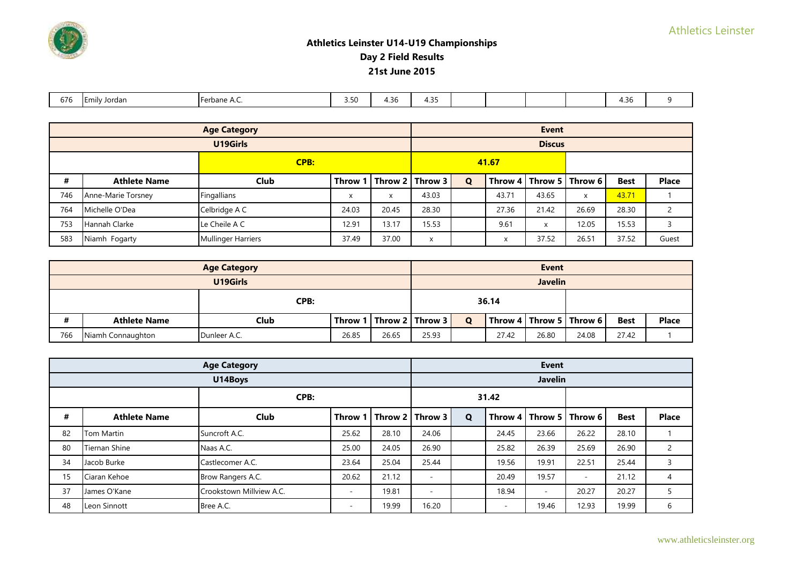| $- -$<br>676 | . .<br>Emily Jordan | <b>Lerhane</b><br>A.C.<br>тиан | the company's con-<br> | - -<br>$\overline{\phantom{a}}$<br>7.JU | - -<br>$\sim$<br>້.ບັ |  |  | $\lambda$ $\lambda$ $\lambda$ $\lambda$<br>$\sim$ |  |
|--------------|---------------------|--------------------------------|------------------------|-----------------------------------------|-----------------------|--|--|---------------------------------------------------|--|

|      |                      | <b>Age Category</b>                         |                   |       | <b>Event</b>                |             |       |               |                             |             |              |  |
|------|----------------------|---------------------------------------------|-------------------|-------|-----------------------------|-------------|-------|---------------|-----------------------------|-------------|--------------|--|
|      |                      | U19Girls                                    |                   |       |                             |             |       | <b>Discus</b> |                             |             |              |  |
| CPB: |                      |                                             |                   |       |                             |             | 41.67 |               |                             |             |              |  |
| #    | <b>Athlete Name</b>  | <b>Club</b>                                 |                   |       | Throw 1   Throw 2   Throw 3 | $\mathbf Q$ |       |               | Throw 4   Throw 5   Throw 6 | <b>Best</b> | <b>Place</b> |  |
| 746  | Anne-Marie Torsney   | Fingallians                                 | $\checkmark$<br>⋏ | x     | 43.03                       |             | 43.71 | 43.65         | X                           | 43.71       |              |  |
| 764  | Michelle O'Dea       | Celbridge A C                               | 24.03             | 20.45 | 28.30                       |             | 27.36 | 21.42         | 26.69                       | 28.30       |              |  |
| 753  | <b>Hannah Clarke</b> | Le Cheile A C                               | 12.91             | 13.17 | 15.53                       |             | 9.61  | X             | 12.05                       | 15.53       |              |  |
| 583  | Niamh Fogarty        | 37.00<br><b>Mullinger Harriers</b><br>37.49 |                   | X     |                             |             | 37.52 | 26.51         | 37.52                       | Guest       |              |  |

|                                                   |                     | <b>Age Category</b> |       |       |                             |              |       | <b>Event</b>   |                                                     |             |              |
|---------------------------------------------------|---------------------|---------------------|-------|-------|-----------------------------|--------------|-------|----------------|-----------------------------------------------------|-------------|--------------|
|                                                   | U19Girls            |                     |       |       |                             |              |       | <b>Javelin</b> |                                                     |             |              |
| CPB:                                              |                     |                     |       | 36.14 |                             |              |       |                |                                                     |             |              |
| #                                                 | <b>Athlete Name</b> | Club                |       |       | Throw 1   Throw 2   Throw 3 | $\mathbf{o}$ |       |                | $\mid$ Throw 4 $\mid$ Throw 5 $\mid$ Throw 6 $\mid$ | <b>Best</b> | <b>Place</b> |
| 766<br>26.85<br>Niamh Connaughton<br>Dunleer A.C. |                     |                     | 26.65 | 25.93 |                             | 27.42        | 26.80 | 24.08          | 27.42                                               |             |              |

|      | <b>Age Category</b>  |                          |                          |       | <b>Event</b>                |             |       |                          |                             |             |              |  |
|------|----------------------|--------------------------|--------------------------|-------|-----------------------------|-------------|-------|--------------------------|-----------------------------|-------------|--------------|--|
|      |                      | U14Boys                  |                          |       |                             |             |       | <b>Javelin</b>           |                             |             |              |  |
| CPB: |                      |                          |                          |       |                             | 31.42       |       |                          |                             |             |              |  |
| #    | <b>Athlete Name</b>  | <b>Club</b>              |                          |       | Throw 1   Throw 2   Throw 3 | $\mathbf Q$ |       |                          | Throw 4   Throw 5   Throw 6 | <b>Best</b> | <b>Place</b> |  |
| 82   | <b>Tom Martin</b>    | Suncroft A.C.            | 25.62                    | 28.10 | 24.06                       |             | 24.45 | 23.66                    | 26.22                       | 28.10       |              |  |
| 80   | <b>Tiernan Shine</b> | Naas A.C.                | 25.00                    | 24.05 | 26.90                       |             | 25.82 | 26.39                    | 25.69                       | 26.90       |              |  |
| 34   | Jacob Burke          | Castlecomer A.C.         | 23.64                    | 25.04 | 25.44                       |             | 19.56 | 19.91                    | 22.51                       | 25.44       |              |  |
| 15   | Ciaran Kehoe         | Brow Rangers A.C.        | 20.62                    | 21.12 | $\sim$                      |             | 20.49 | 19.57                    | $\sim$                      | 21.12       | 4            |  |
| 37   | James O'Kane         | Crookstown Millview A.C. | $\overline{\phantom{a}}$ | 19.81 | ٠                           |             | 18.94 | $\overline{\phantom{a}}$ | 20.27                       | 20.27       |              |  |
| 48   | Leon Sinnott         | Bree A.C.                | $\overline{\phantom{a}}$ | 19.99 | 16.20                       |             |       | 19.46                    | 12.93                       | 19.99       | 6            |  |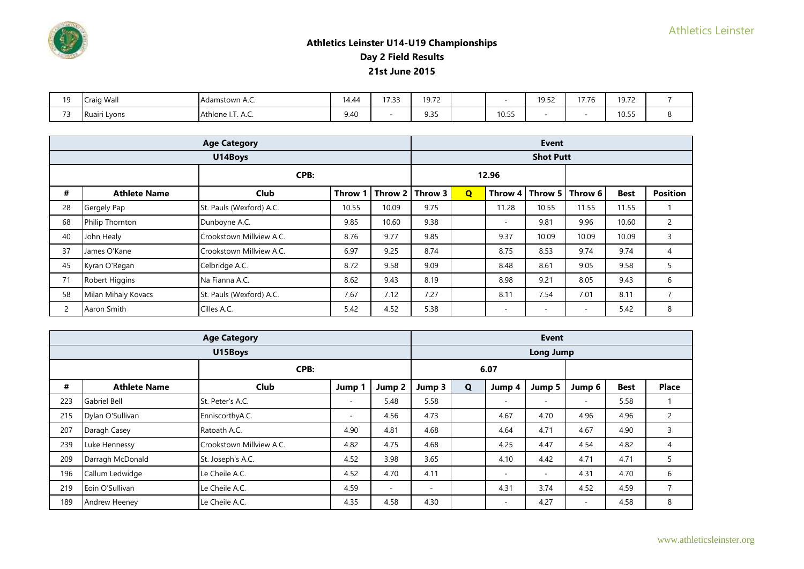

| 10   | Craig Wall   | Adamstown A.C.            | $\overline{A}$<br>14.44 | 17 22<br>. | 19.72<br>17.12                       |       | 1952<br>. | $4 - -$<br>$\sqrt{2}$<br>$\overline{1}$ . | 10.7 <sup>2</sup><br>J.I |  |
|------|--------------|---------------------------|-------------------------|------------|--------------------------------------|-------|-----------|-------------------------------------------|--------------------------|--|
| $-1$ | Ruairi Lyons | $ -$<br>Athlone I.T. A.C. | 9.40                    |            | $\sim$ $\sim$ $\sim$<br>. .<br>ر ر.ر | 10.55 |           |                                           | 10.55                    |  |

|    | <b>Age Category</b> |                          |         |         |         |                |                          | <b>Event</b>     |                          |             |                 |
|----|---------------------|--------------------------|---------|---------|---------|----------------|--------------------------|------------------|--------------------------|-------------|-----------------|
|    |                     | U14Boys                  |         |         |         |                |                          | <b>Shot Putt</b> |                          |             |                 |
|    | CPB:                |                          |         |         |         |                | 12.96                    |                  |                          |             |                 |
| #  | <b>Athlete Name</b> | Club                     | Throw 1 | Throw 2 | Throw 3 | $\overline{Q}$ | Throw 4                  | ∣ Throw 5 I      | Throw 6                  | <b>Best</b> | <b>Position</b> |
| 28 | Gergely Pap         | St. Pauls (Wexford) A.C. | 10.55   | 10.09   | 9.75    |                | 11.28                    | 10.55            | 11.55                    | 11.55       |                 |
| 68 | Philip Thornton     | Dunboyne A.C.            | 9.85    | 10.60   | 9.38    |                | $\sim$                   | 9.81             | 9.96                     | 10.60       | 2               |
| 40 | John Healy          | Crookstown Millview A.C. | 8.76    | 9.77    | 9.85    |                | 9.37                     | 10.09            | 10.09                    | 10.09       | 3               |
| 37 | James O'Kane        | Crookstown Millview A.C. | 6.97    | 9.25    | 8.74    |                | 8.75                     | 8.53             | 9.74                     | 9.74        | $\overline{4}$  |
| 45 | Kyran O'Regan       | Celbridge A.C.           | 8.72    | 9.58    | 9.09    |                | 8.48                     | 8.61             | 9.05                     | 9.58        | 5               |
| 71 | Robert Higgins      | Na Fianna A.C.           | 8.62    | 9.43    | 8.19    |                | 8.98                     | 9.21             | 8.05                     | 9.43        | 6               |
| 58 | Milan Mihaly Kovacs | St. Pauls (Wexford) A.C. | 7.67    | 7.12    | 7.27    |                | 8.11                     | 7.54             | 7.01                     | 8.11        | ⇁               |
| 2  | Aaron Smith         | Cilles A.C.              | 5.42    | 4.52    | 5.38    |                | $\overline{\phantom{a}}$ |                  | $\overline{\phantom{a}}$ | 5.42        | 8               |

|     | <b>Age Category</b> |                          |        |                          |        |   |        | <b>Event</b>             |        |             |                |
|-----|---------------------|--------------------------|--------|--------------------------|--------|---|--------|--------------------------|--------|-------------|----------------|
|     |                     | U15Boys                  |        |                          |        |   |        | <b>Long Jump</b>         |        |             |                |
|     | CPB:                |                          |        |                          |        |   | 6.07   |                          |        |             |                |
| #   | <b>Athlete Name</b> | Club                     | Jump 1 | Jump 2                   | Jump 3 | Q | Jump 4 | Jump 5                   | Jump 6 | <b>Best</b> | <b>Place</b>   |
| 223 | <b>Gabriel Bell</b> | St. Peter's A.C.         | $\sim$ | 5.48                     | 5.58   |   | ٠      | ٠                        | $\sim$ | 5.58        |                |
| 215 | Dylan O'Sullivan    | EnniscorthyA.C.          | $\sim$ | 4.56                     | 4.73   |   | 4.67   | 4.70                     | 4.96   | 4.96        | 2              |
| 207 | Daragh Casey        | Ratoath A.C.             | 4.90   | 4.81                     | 4.68   |   | 4.64   | 4.71                     | 4.67   | 4.90        | 3              |
| 239 | Luke Hennessy       | Crookstown Millview A.C. | 4.82   | 4.75                     | 4.68   |   | 4.25   | 4.47                     | 4.54   | 4.82        | 4              |
| 209 | Darragh McDonald    | St. Joseph's A.C.        | 4.52   | 3.98                     | 3.65   |   | 4.10   | 4.42                     | 4.71   | 4.71        | 5              |
| 196 | Callum Ledwidge     | Le Cheile A.C.           | 4.52   | 4.70                     | 4.11   |   | ٠      | $\overline{\phantom{a}}$ | 4.31   | 4.70        | 6              |
| 219 | Eoin O'Sullivan     | Le Cheile A.C.           | 4.59   | $\overline{\phantom{a}}$ | $\sim$ |   | 4.31   | 3.74                     | 4.52   | 4.59        | $\overline{7}$ |
| 189 | Andrew Heeney       | Le Cheile A.C.           | 4.35   | 4.58                     | 4.30   |   | ٠      | 4.27                     | $\sim$ | 4.58        | 8              |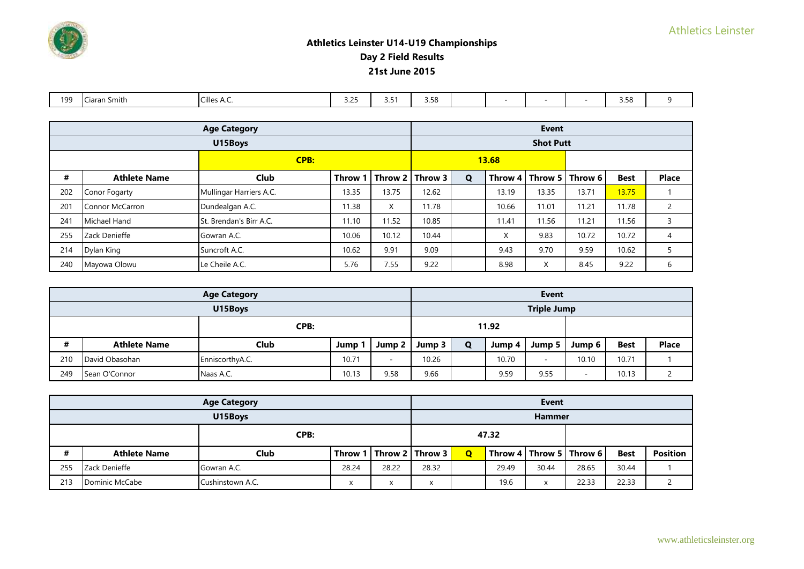

| 199 | .<br>Ciaran<br>. Smith | Cilles A.<br>$\cdot$ . $\sim$ | .25<br>◡.∟ | . .<br>ر.ر | 3.58 |  |  | $\sim$ $-$<br>しっしし |  |
|-----|------------------------|-------------------------------|------------|------------|------|--|--|--------------------|--|

|      | <b>Age Category</b>    |                         |         |             |         | <b>Event</b> |                   |                  |                             |             |              |  |  |
|------|------------------------|-------------------------|---------|-------------|---------|--------------|-------------------|------------------|-----------------------------|-------------|--------------|--|--|
|      |                        | U15Boys                 |         |             |         |              |                   | <b>Shot Putt</b> |                             |             |              |  |  |
| CPB: |                        |                         |         |             |         |              | 13.68             |                  |                             |             |              |  |  |
| #    | <b>Athlete Name</b>    | <b>Club</b>             | Throw 1 | $ $ Throw 2 | Throw 3 | Q            |                   |                  | Throw 4   Throw 5   Throw 6 | <b>Best</b> | <b>Place</b> |  |  |
| 202  | Conor Fogarty          | Mullingar Harriers A.C. | 13.35   | 13.75       | 12.62   |              | 13.19             | 13.35            | 13.71                       | 13.75       |              |  |  |
| 201  | <b>Connor McCarron</b> | Dundealgan A.C.         | 11.38   | X           | 11.78   |              | 10.66             | 11.01            | 11.21                       | 11.78       | 2            |  |  |
| 241  | Michael Hand           | St. Brendan's Birr A.C. | 11.10   | 11.52       | 10.85   |              | 11.41             | 11.56            | 11.21                       | 11.56       | 3            |  |  |
| 255  | Zack Denieffe          | Gowran A.C.             | 10.06   | 10.12       | 10.44   |              | $\checkmark$<br>∧ | 9.83             | 10.72                       | 10.72       | 4            |  |  |
| 214  | Dylan King             | Suncroft A.C.           | 10.62   | 9.91        | 9.09    |              | 9.43              | 9.70             | 9.59                        | 10.62       |              |  |  |
| 240  | Mayowa Olowu           | Le Cheile A.C.          | 5.76    | 7.55        | 9.22    |              | 8.98              | X                | 8.45                        | 9.22        | 6            |  |  |

|      |                     | <b>Age Category</b> |       |                          |        |   |        | <b>Event</b>             |                          |             |              |
|------|---------------------|---------------------|-------|--------------------------|--------|---|--------|--------------------------|--------------------------|-------------|--------------|
|      | U15Boys             |                     |       |                          |        |   |        | <b>Triple Jump</b>       |                          |             |              |
| CPB: |                     |                     |       |                          |        |   | 11.92  |                          |                          |             |              |
| #    | <b>Athlete Name</b> | Club                | Jump  | Jump 2                   | Jump 3 | O | Jump 4 | Jump 5                   | Jump 6                   | <b>Best</b> | <b>Place</b> |
| 210  | David Obasohan      | EnniscorthyA.C.     | 10.71 | $\overline{\phantom{a}}$ | 10.26  |   | 10.70  | $\overline{\phantom{a}}$ | 10.10                    | 10.71       |              |
| 249  | Sean O'Connor       | Naas A.C.           | 10.13 | 9.58                     | 9.66   |   | 9.59   | 9.55                     | $\overline{\phantom{a}}$ | 10.13       |              |

|      |                     | <b>Age Category</b> |       |           |                             |             |       | <b>Event</b>  |                             |             |                 |
|------|---------------------|---------------------|-------|-----------|-----------------------------|-------------|-------|---------------|-----------------------------|-------------|-----------------|
|      | U15Boys             |                     |       |           |                             |             |       | <b>Hammer</b> |                             |             |                 |
| CPB: |                     |                     |       |           | 47.32                       |             |       |               |                             |             |                 |
|      | <b>Athlete Name</b> | Club                |       |           | Throw 1   Throw 2   Throw 3 | $\mathbf Q$ |       |               | Throw 4   Throw 5   Throw 6 | <b>Best</b> | <b>Position</b> |
| 255  | Zack Denieffe       | Gowran A.C.         | 28.24 | 28.22     | 28.32                       |             | 29.49 | 30.44         | 28.65                       | 30.44       |                 |
| 213  | Dominic McCabe      | Cushinstown A.C.    |       | $\lambda$ | X                           |             | 19.6  |               | 22.33                       | 22.33       |                 |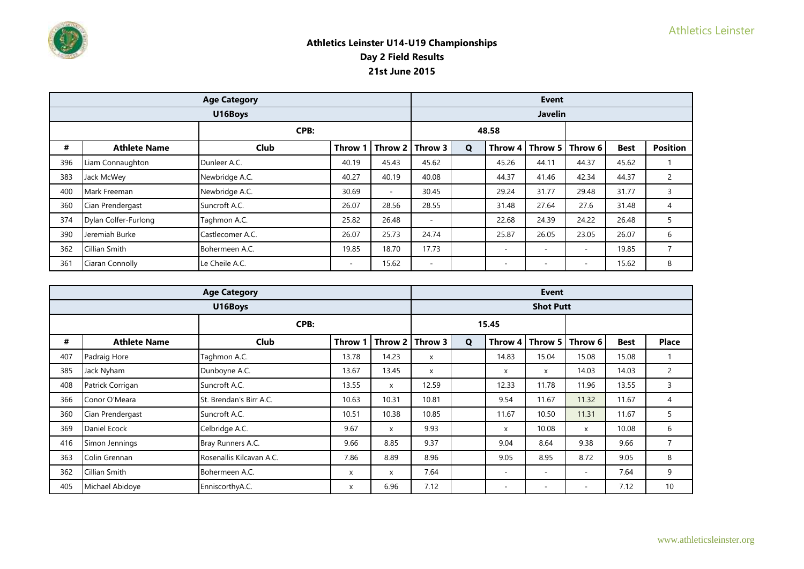

|     | <b>Age Category</b>  |                  |                          |                          |         | <b>Event</b> |                          |                          |                          |             |                 |  |  |
|-----|----------------------|------------------|--------------------------|--------------------------|---------|--------------|--------------------------|--------------------------|--------------------------|-------------|-----------------|--|--|
|     |                      | U16Boys          |                          |                          |         |              |                          | <b>Javelin</b>           |                          |             |                 |  |  |
|     | CPB:                 |                  |                          |                          |         |              | 48.58                    |                          |                          |             |                 |  |  |
| #   | <b>Athlete Name</b>  | <b>Club</b>      | Throw 1                  | Throw 2                  | Throw 3 | $\mathbf Q$  |                          | Throw $4 \mid$ Throw 5   | Throw 6                  | <b>Best</b> | <b>Position</b> |  |  |
| 396 | Liam Connaughton     | Dunleer A.C.     | 40.19                    | 45.43                    | 45.62   |              | 45.26                    | 44.11                    | 44.37                    | 45.62       |                 |  |  |
| 383 | Jack McWey           | Newbridge A.C.   | 40.27                    | 40.19                    | 40.08   |              | 44.37                    | 41.46                    | 42.34                    | 44.37       |                 |  |  |
| 400 | Mark Freeman         | Newbridge A.C.   | 30.69                    | $\overline{\phantom{a}}$ | 30.45   |              | 29.24                    | 31.77                    | 29.48                    | 31.77       | 3               |  |  |
| 360 | Cian Prendergast     | Suncroft A.C.    | 26.07                    | 28.56                    | 28.55   |              | 31.48                    | 27.64                    | 27.6                     | 31.48       | 4               |  |  |
| 374 | Dylan Colfer-Furlong | Taghmon A.C.     | 25.82                    | 26.48                    | $\sim$  |              | 22.68                    | 24.39                    | 24.22                    | 26.48       | 5               |  |  |
| 390 | Jeremiah Burke       | Castlecomer A.C. | 26.07                    | 25.73                    | 24.74   |              | 25.87                    | 26.05                    | 23.05                    | 26.07       | 6               |  |  |
| 362 | Cillian Smith        | Bohermeen A.C.   | 19.85                    | 18.70                    | 17.73   |              | $\overline{\phantom{a}}$ | $\overline{\phantom{a}}$ | $\overline{\phantom{0}}$ | 19.85       | $\overline{7}$  |  |  |
| 361 | Ciaran Connolly      | Le Cheile A.C.   | $\overline{\phantom{a}}$ | 15.62                    | $\sim$  |              | $\overline{\phantom{a}}$ | $\overline{\phantom{a}}$ | $\overline{\phantom{a}}$ | 15.62       | 8               |  |  |

|     | <b>Age Category</b> |                          |              |              |         |             |                          | <b>Event</b>             |                          |             |                |
|-----|---------------------|--------------------------|--------------|--------------|---------|-------------|--------------------------|--------------------------|--------------------------|-------------|----------------|
|     |                     | U16Boys                  |              |              |         |             |                          | <b>Shot Putt</b>         |                          |             |                |
|     |                     | CPB:                     |              |              |         |             | 15.45                    |                          |                          |             |                |
| #   | <b>Athlete Name</b> | Club                     | <b>Throw</b> | Throw 2      | Throw 3 | $\mathbf Q$ | Throw 4                  | Throw 5                  | Throw 6                  | <b>Best</b> | <b>Place</b>   |
| 407 | Padraig Hore        | Taghmon A.C.             | 13.78        | 14.23        | X       |             | 14.83                    | 15.04                    | 15.08                    | 15.08       |                |
| 385 | Jack Nyham          | Dunboyne A.C.            | 13.67        | 13.45        | X       |             | X                        | X                        | 14.03                    | 14.03       | $\overline{2}$ |
| 408 | Patrick Corrigan    | Suncroft A.C.            | 13.55        | $\mathsf{x}$ | 12.59   |             | 12.33                    | 11.78                    | 11.96                    | 13.55       | 3              |
| 366 | Conor O'Meara       | St. Brendan's Birr A.C.  | 10.63        | 10.31        | 10.81   |             | 9.54                     | 11.67                    | 11.32                    | 11.67       | 4              |
| 360 | Cian Prendergast    | Suncroft A.C.            | 10.51        | 10.38        | 10.85   |             | 11.67                    | 10.50                    | 11.31                    | 11.67       | 5              |
| 369 | Daniel Ecock        | Celbridge A.C.           | 9.67         | $\mathsf{x}$ | 9.93    |             | X                        | 10.08                    | X                        | 10.08       | 6              |
| 416 | Simon Jennings      | Bray Runners A.C.        | 9.66         | 8.85         | 9.37    |             | 9.04                     | 8.64                     | 9.38                     | 9.66        | $\overline{7}$ |
| 363 | Colin Grennan       | Rosenallis Kilcavan A.C. | 7.86         | 8.89         | 8.96    |             | 9.05                     | 8.95                     | 8.72                     | 9.05        | 8              |
| 362 | Cillian Smith       | Bohermeen A.C.           | x            | X            | 7.64    |             | $\sim$                   | $\overline{\phantom{a}}$ | $\sim$                   | 7.64        | 9              |
| 405 | Michael Abidoye     | EnniscorthyA.C.          | X            | 6.96         | 7.12    |             | $\overline{\phantom{a}}$ | $\overline{\phantom{a}}$ | $\overline{\phantom{a}}$ | 7.12        | 10             |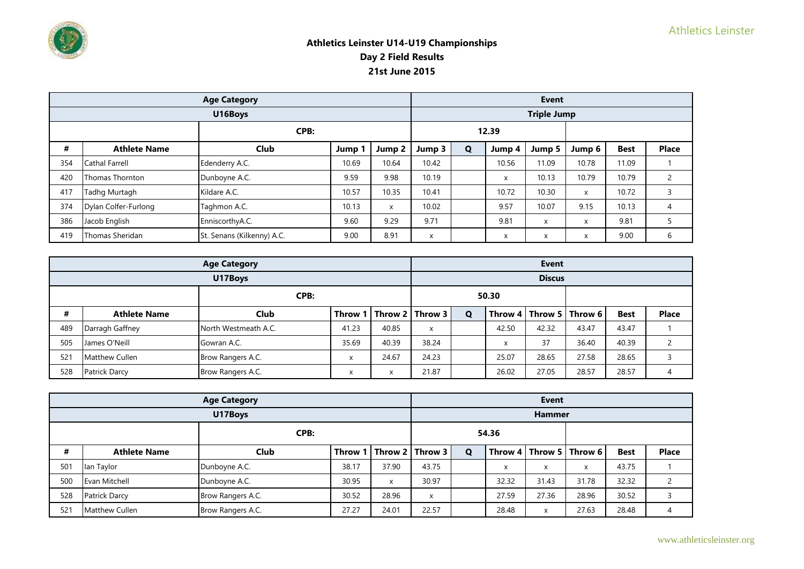

|      | <b>Age Category</b>   |                            |        |        |        | <b>Event</b> |        |                    |        |             |              |  |  |
|------|-----------------------|----------------------------|--------|--------|--------|--------------|--------|--------------------|--------|-------------|--------------|--|--|
|      |                       | U16Boys                    |        |        |        |              |        | <b>Triple Jump</b> |        |             |              |  |  |
| CPB: |                       |                            |        |        |        |              | 12.39  |                    |        |             |              |  |  |
| #    | <b>Athlete Name</b>   | <b>Club</b>                | Jump 1 | Jump 2 | Jump 3 | $\mathbf Q$  | Jump 4 | Jump 5             | Jump 6 | <b>Best</b> | <b>Place</b> |  |  |
| 354  | <b>Cathal Farrell</b> | Edenderry A.C.             | 10.69  | 10.64  | 10.42  |              | 10.56  | 11.09              | 10.78  | 11.09       |              |  |  |
| 420  | Thomas Thornton       | Dunboyne A.C.              | 9.59   | 9.98   | 10.19  |              | X      | 10.13              | 10.79  | 10.79       |              |  |  |
| 417  | Tadhg Murtagh         | Kildare A.C.               | 10.57  | 10.35  | 10.41  |              | 10.72  | 10.30              | X      | 10.72       |              |  |  |
| 374  | Dylan Colfer-Furlong  | Taghmon A.C.               | 10.13  | X      | 10.02  |              | 9.57   | 10.07              | 9.15   | 10.13       | 4            |  |  |
| 386  | Jacob English         | EnniscorthyA.C.            | 9.60   | 9.29   | 9.71   |              | 9.81   | $\mathsf{x}$       | X      | 9.81        |              |  |  |
| 419  | Thomas Sheridan       | St. Senans (Kilkenny) A.C. | 9.00   | 8.91   | X      |              | X      | $\mathsf{x}$       | X      | 9.00        | b            |  |  |

|      |                     | <b>Age Category</b>  |                                      |       | <b>Event</b>                |   |                           |               |                             |             |              |  |
|------|---------------------|----------------------|--------------------------------------|-------|-----------------------------|---|---------------------------|---------------|-----------------------------|-------------|--------------|--|
|      |                     | U17Boys              |                                      |       |                             |   |                           | <b>Discus</b> |                             |             |              |  |
| CPB: |                     |                      |                                      |       |                             |   | 50.30                     |               |                             |             |              |  |
| #    | <b>Athlete Name</b> | Club                 |                                      |       | Throw 1   Throw 2   Throw 3 | Q |                           |               | Throw 4   Throw 5   Throw 6 | <b>Best</b> | <b>Place</b> |  |
| 489  | Darragh Gaffney     | North Westmeath A.C. | 41.23                                | 40.85 | X                           |   | 42.50                     | 42.32         | 43.47                       | 43.47       |              |  |
| 505  | James O'Neill       | Gowran A.C.          | 35.69                                | 40.39 | 38.24                       |   | $\checkmark$<br>$\lambda$ | 37            | 36.40                       | 40.39       |              |  |
| 521  | Matthew Cullen      | Brow Rangers A.C.    | $\mathbf{v}$                         | 24.67 | 24.23                       |   | 25.07                     | 28.65         | 27.58                       | 28.65       |              |  |
| 528  | Patrick Darcy       | Brow Rangers A.C.    | $\overline{\mathbf{v}}$<br>$\lambda$ | X     | 21.87                       |   | 26.02                     | 27.05         | 28.57                       | 28.57       |              |  |

|      | <b>Age Category</b>   |                   |         |                |         | <b>Event</b> |                           |               |                             |             |               |  |  |
|------|-----------------------|-------------------|---------|----------------|---------|--------------|---------------------------|---------------|-----------------------------|-------------|---------------|--|--|
|      |                       | U17Boys           |         |                |         |              |                           | <b>Hammer</b> |                             |             |               |  |  |
| CPB: |                       |                   |         |                |         |              | 54.36                     |               |                             |             |               |  |  |
| #    | <b>Athlete Name</b>   | <b>Club</b>       | Throw 1 | <b>Throw 2</b> | Throw 3 | Q            |                           |               | Throw 4   Throw 5   Throw 6 | <b>Best</b> | <b>Place</b>  |  |  |
| 501  | lan Taylor            | Dunboyne A.C.     | 38.17   | 37.90          | 43.75   |              | $\mathbf{v}$<br>$\lambda$ | X             | X                           | 43.75       |               |  |  |
| 500  | Evan Mitchell         | Dunboyne A.C.     | 30.95   | X              | 30.97   |              | 32.32                     | 31.43         | 31.78                       | 32.32       | $\mathcal{L}$ |  |  |
| 528  | <b>Patrick Darcy</b>  | Brow Rangers A.C. | 30.52   | 28.96          | X       |              | 27.59                     | 27.36         | 28.96                       | 30.52       |               |  |  |
| 521  | <b>Matthew Cullen</b> | Brow Rangers A.C. | 27.27   | 24.01          | 22.57   |              | 28.48                     | X             | 27.63                       | 28.48       | 4             |  |  |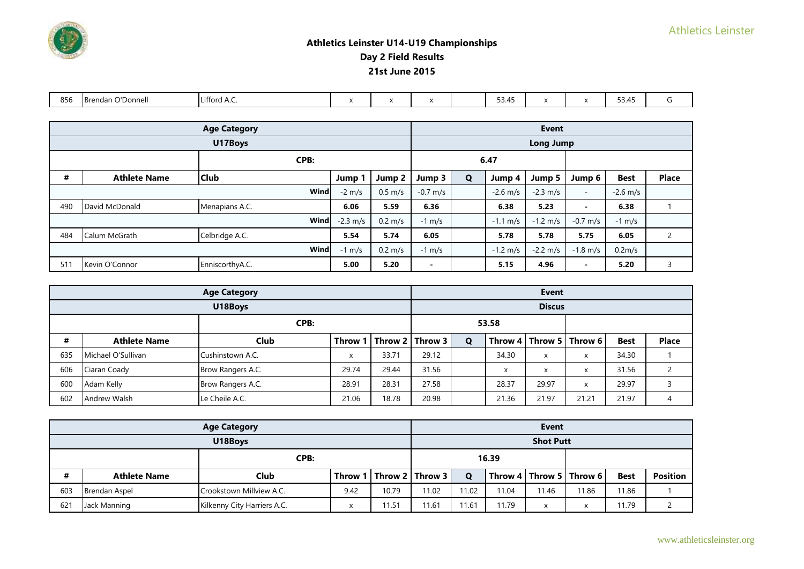| 856 | $\sim$ $\sim$<br>. .<br>.<br>TBrendan C<br>r Donnell | $\cdot$<br>uttord A.C. |  |  | --<br>. 4<br><b>JJ.</b><br>—<br>$ -$ | $\lambda$ | $F \cap AF$<br>≺ ⁄I'<br><u>JJ.TJ</u><br>- - - |  |
|-----|------------------------------------------------------|------------------------|--|--|--------------------------------------|-----------|-----------------------------------------------|--|

|      | <b>Age Category</b> |                 |                    |                   |                      | <b>Event</b> |                      |                      |                          |                    |                |  |  |
|------|---------------------|-----------------|--------------------|-------------------|----------------------|--------------|----------------------|----------------------|--------------------------|--------------------|----------------|--|--|
|      |                     | U17Boys         |                    |                   |                      |              |                      | <b>Long Jump</b>     |                          |                    |                |  |  |
| CPB: |                     |                 |                    |                   |                      |              | 6.47                 |                      |                          |                    |                |  |  |
| #    | <b>Athlete Name</b> | <b>Club</b>     | Jump               | Jump 2            | Jump 3               | Q            | Jump 4               | Jump 5               | Jump 6                   | <b>Best</b>        | <b>Place</b>   |  |  |
|      |                     | Wind            | $-2$ m/s           | $0.5 \text{ m/s}$ | $-0.7 \, \text{m/s}$ |              | $-2.6$ m/s           | $-2.3$ m/s           | $\overline{\phantom{a}}$ | $-2.6$ m/s         |                |  |  |
| 490  | David McDonald      | Menapians A.C.  | 6.06               | 5.59              | 6.36                 |              | 6.38                 | 5.23                 | $\blacksquare$           | 6.38               |                |  |  |
|      |                     | Wind            | $-2.3 \text{ m/s}$ | $0.2 \text{ m/s}$ | $-1$ m/s             |              | $-1.1 \text{ m/s}$   | $-1.2 \, \text{m/s}$ | $-0.7$ m/s               | $-1$ m/s           |                |  |  |
| 484  | Calum McGrath       | Celbridge A.C.  | 5.54               | 5.74              | 6.05                 |              | 5.78                 | 5.78                 | 5.75                     | 6.05               | $\overline{2}$ |  |  |
|      | Wind                |                 | $-1$ m/s           | $0.2 \text{ m/s}$ | $-1$ m/s             |              | $-1.2 \, \text{m/s}$ | $-2.2 \, \text{m/s}$ | $-1.8$ m/s               | 0.2 <sub>m/s</sub> |                |  |  |
| 511  | Kevin O'Connor      | EnniscorthyA.C. | 5.00               | 5.20              | $\blacksquare$       |              | 5.15                 | 4.96                 | $\,$ $\,$                | 5.20               | २              |  |  |

|      | <b>Age Category</b> |                   |              |       |                             | <b>Event</b> |            |                         |                             |             |              |  |  |
|------|---------------------|-------------------|--------------|-------|-----------------------------|--------------|------------|-------------------------|-----------------------------|-------------|--------------|--|--|
|      |                     | U18Boys           |              |       |                             |              |            | <b>Discus</b>           |                             |             |              |  |  |
| CPB: |                     |                   |              |       |                             |              | 53.58      |                         |                             |             |              |  |  |
| #    | <b>Athlete Name</b> | Club              |              |       | Throw 1   Throw 2   Throw 3 | Q            |            |                         | Throw 4   Throw 5   Throw 6 | <b>Best</b> | <b>Place</b> |  |  |
| 635  | Michael O'Sullivan  | Cushinstown A.C.  | $\checkmark$ | 33.71 | 29.12                       |              | 34.30      | X                       | x                           | 34.30       |              |  |  |
| 606  | Ciaran Coady        | Brow Rangers A.C. | 29.74        | 29.44 | 31.56                       |              | $\sqrt{ }$ | $\overline{\mathbf{v}}$ | x                           | 31.56       |              |  |  |
| 600  | Adam Kelly          | Brow Rangers A.C. | 28.91        | 28.31 | 27.58                       |              | 28.37      | 29.97                   | X                           | 29.97       |              |  |  |
| 602  | <b>Andrew Walsh</b> | Le Cheile A.C.    | 21.06        | 18.78 | 20.98                       |              | 21.36      | 21.97                   | 21.21                       | 21.97       |              |  |  |

|     |                      | <b>Age Category</b>         |         |       |                         |       |       | Event            |                             |             |                 |
|-----|----------------------|-----------------------------|---------|-------|-------------------------|-------|-------|------------------|-----------------------------|-------------|-----------------|
|     |                      | U18Boys                     |         |       |                         |       |       | <b>Shot Putt</b> |                             |             |                 |
|     |                      |                             |         |       | 16.39                   |       |       |                  |                             |             |                 |
| #   | <b>Athlete Name</b>  | Club                        | Throw 1 |       | ∣ I Throw 2 I Throw 3 I | Ο     |       |                  | Throw 4   Throw 5   Throw 6 | <b>Best</b> | <b>Position</b> |
| 603 | <b>Brendan Aspel</b> | Crookstown Millview A.C.    | 9.42    | 10.79 | 11.02                   | 11.02 | 11.04 | 11.46            | 11.86                       | 1.86        |                 |
| 621 | Jack Manning         | Kilkenny City Harriers A.C. |         | 11.51 | 11.61                   | 1.67  | 11.79 | y                | x                           | 1.79        |                 |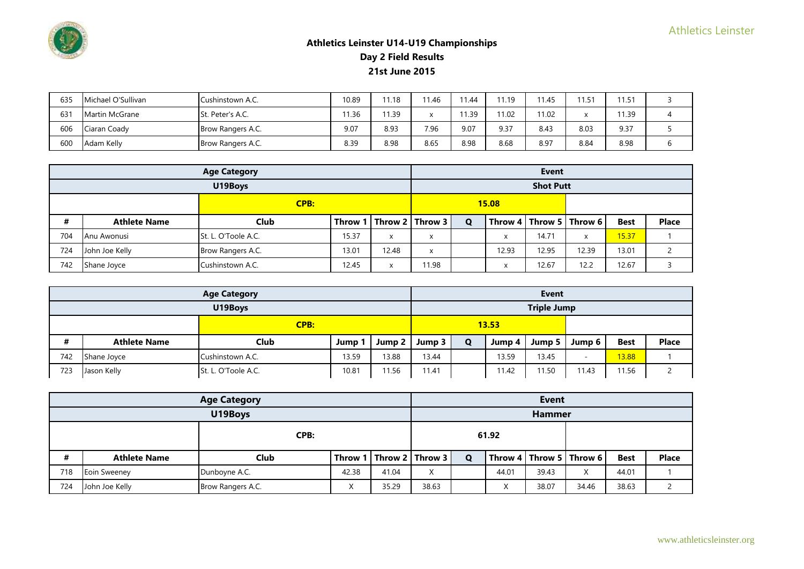

| 635 | Michael O'Sullivan | Cushinstown A.C.  | 10.89 | 11.18 | 11.46 | 11.44 | 11.19 | 11.45 | 11.71 | 11.51 |   |
|-----|--------------------|-------------------|-------|-------|-------|-------|-------|-------|-------|-------|---|
| 631 | Martin McGrane     | St. Peter's A.C.  | 11.36 | 1.39  |       | 11.39 | 11.02 | 11.02 |       | 11.39 |   |
| 606 | Ciaran Coady       | Brow Rangers A.C. | 9.07  | 8.93  | 7.96  | 9.07  | 9.37  | 8.43  | 8.03  | 9.37  |   |
| 600 | Adam Kelly         | Brow Rangers A.C. | 8.39  | 8.98  | 8.65  | 8.98  | 8.68  | 8.97  | 8.84  | 8.98  | O |

|     |                     | <b>Age Category</b> |       |       |                             |              |       | <b>Event</b>                |       |             |               |
|-----|---------------------|---------------------|-------|-------|-----------------------------|--------------|-------|-----------------------------|-------|-------------|---------------|
|     |                     | U19Boys             |       |       |                             |              |       | <b>Shot Putt</b>            |       |             |               |
|     |                     | <b>CPB:</b>         |       |       |                             | <b>15.08</b> |       |                             |       |             |               |
| #   | <b>Athlete Name</b> | Club                |       |       | Throw 1   Throw 2   Throw 3 | $\mathbf Q$  |       | Throw 4   Throw 5   Throw 6 |       | <b>Best</b> | <b>Place</b>  |
| 704 | Anu Awonusi         | St. L. O'Toole A.C. | 15.37 | X     | x                           |              | X     | 14.71                       | X     | 15.37       |               |
| 724 | John Joe Kelly      | Brow Rangers A.C.   | 13.01 | 12.48 | x                           |              | 12.93 | 12.95                       | 12.39 | 13.01       | $\mathcal{D}$ |
| 742 | Shane Joyce         | Cushinstown A.C.    | 12.45 | X     | 11.98                       |              | X     | 12.67                       | 12.2  | 12.67       |               |

|     |                     | <b>Age Category</b> |       |                    |        |       |        | <b>Event</b>       |                          |             |              |
|-----|---------------------|---------------------|-------|--------------------|--------|-------|--------|--------------------|--------------------------|-------------|--------------|
|     |                     | U19Boys             |       |                    |        |       |        | <b>Triple Jump</b> |                          |             |              |
|     |                     | <b>CPB:</b>         |       |                    |        | 13.53 |        |                    |                          |             |              |
| #   | <b>Athlete Name</b> | Club                | Jump  | Jump 2 $\parallel$ | Jump 3 | Q     | Jump 4 | Jump 5             | Jump 6                   | <b>Best</b> | <b>Place</b> |
| 742 | Shane Joyce         | Cushinstown A.C.    | 13.59 | 13.88              | 13.44  |       | 13.59  | 13.45              | $\overline{\phantom{0}}$ | 13.88       |              |
| 723 | Jason Kelly         | St. L. O'Toole A.C. | 10.81 | 11.56              | 11.41  |       | 11.42  | 11.50              | 11.43                    | 11.56       |              |

|     |                     | <b>Age Category</b> |                |       |                       |   |           | <b>Event</b>  |                                                     |             |              |
|-----|---------------------|---------------------|----------------|-------|-----------------------|---|-----------|---------------|-----------------------------------------------------|-------------|--------------|
|     |                     | U19Boys             |                |       |                       |   |           | <b>Hammer</b> |                                                     |             |              |
|     |                     | CPB:                |                |       |                       |   | 61.92     |               |                                                     |             |              |
| #   | <b>Athlete Name</b> | Club                | Throw 1        |       | l   Throw 2   Throw 3 | Q |           |               | $\mid$ Throw 4 $\mid$ Throw 5 $\mid$ Throw 6 $\mid$ | <b>Best</b> | <b>Place</b> |
| 718 | Eoin Sweeney        | Dunboyne A.C.       | 42.38          | 41.04 | $\checkmark$<br>A     |   | 44.01     | 39.43         | X                                                   | 44.01       |              |
| 724 | John Joe Kelly      | Brow Rangers A.C.   | $\lambda$<br>⌒ | 35.29 | 38.63                 |   | $\lambda$ | 38.07         | 34.46                                               | 38.63       |              |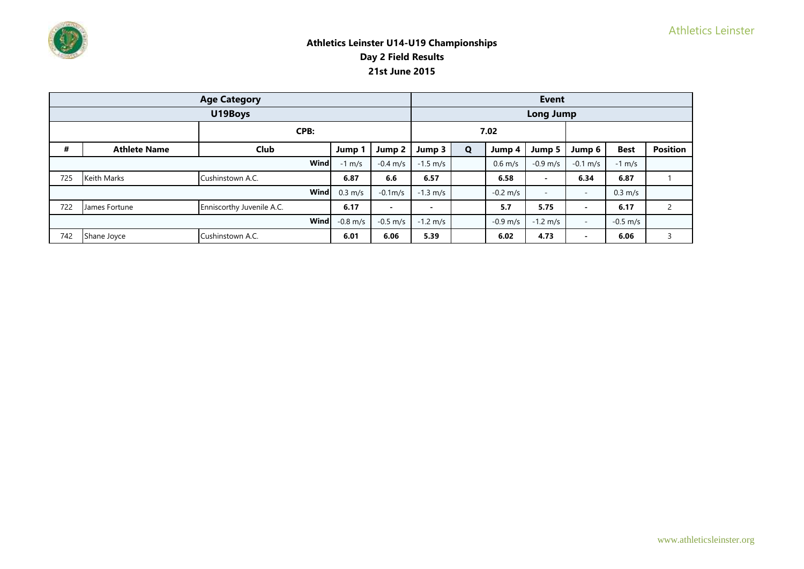

|     |                     | <b>Age Category</b>       |                   |                          |                          |             |                      | <b>Event</b>       |                          |                   |                 |
|-----|---------------------|---------------------------|-------------------|--------------------------|--------------------------|-------------|----------------------|--------------------|--------------------------|-------------------|-----------------|
|     |                     | U19Boys                   |                   |                          |                          |             |                      | <b>Long Jump</b>   |                          |                   |                 |
|     |                     | CPB:                      |                   |                          |                          |             | 7.02                 |                    |                          |                   |                 |
| #   | <b>Athlete Name</b> | Club                      | Jump 1            | Jump 2                   | Jump 3                   | $\mathbf Q$ | Jump 4               | Jump 5             | Jump 6                   | <b>Best</b>       | <b>Position</b> |
|     |                     | Wind                      | $-1$ m/s          | $-0.4 \; \text{m/s}$     | $-1.5 \text{ m/s}$       |             | $0.6$ m/s            | $-0.9$ m/s         | $-0.1 \, \text{m/s}$     | $-1$ m/s          |                 |
| 725 | <b>Keith Marks</b>  | Cushinstown A.C.          | 6.87              | 6.6                      | 6.57                     |             | 6.58                 | -                  | 6.34                     | 6.87              |                 |
|     |                     | Wind                      | $0.3 \text{ m/s}$ | $-0.1m$ /s               | $-1.3 \, \text{m/s}$     |             | $-0.2 \, \text{m/s}$ | $-$                | $\overline{\phantom{a}}$ | $0.3 \text{ m/s}$ |                 |
| 722 | James Fortune       | Enniscorthy Juvenile A.C. | 6.17              | $\overline{\phantom{0}}$ | $\overline{\phantom{0}}$ |             | 5.7                  | 5.75               | $\,$ $\,$                | 6.17              |                 |
|     |                     | Wind                      | $-0.8$ m/s        | $-0.5$ m/s               | $-1.2 \text{ m/s}$       |             | $-0.9$ m/s           | $-1.2 \text{ m/s}$ | $\overline{\phantom{a}}$ | $-0.5$ m/s        |                 |
| 742 | Shane Joyce         | Cushinstown A.C.          | 6.01              | 6.06                     | 5.39                     |             | 6.02                 | 4.73               | $\blacksquare$           | 6.06              | 3               |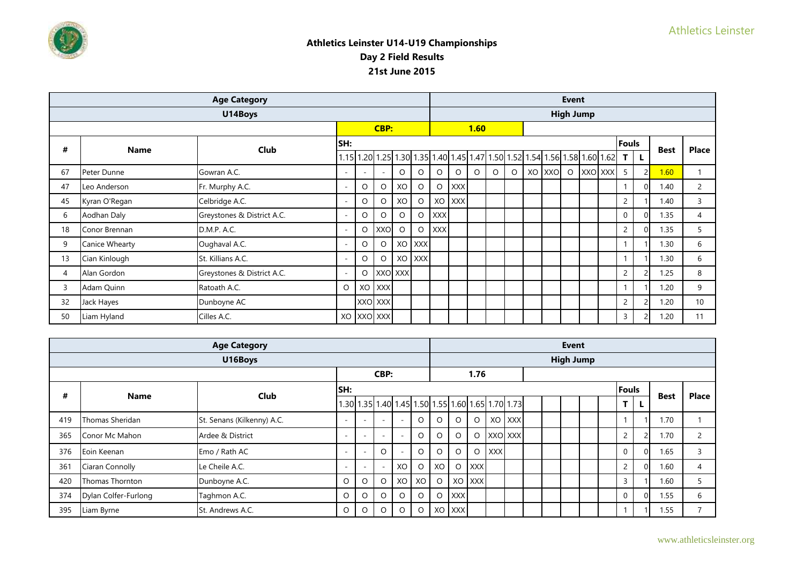

|    |                | <b>Age Category</b>        |                          |                          |            |         |            |            |            |         |         |         |                                                                              | <b>Event</b>     |         |                |             |                |
|----|----------------|----------------------------|--------------------------|--------------------------|------------|---------|------------|------------|------------|---------|---------|---------|------------------------------------------------------------------------------|------------------|---------|----------------|-------------|----------------|
|    |                | U14Boys                    |                          |                          |            |         |            |            |            |         |         |         |                                                                              | <b>High Jump</b> |         |                |             |                |
|    |                |                            |                          |                          | CBP:       |         |            |            |            | 1.60    |         |         |                                                                              |                  |         |                |             |                |
| #  | <b>Name</b>    | Club                       | SH:                      |                          |            |         |            |            |            |         |         |         |                                                                              |                  |         | <b>Fouls</b>   | <b>Best</b> | <b>Place</b>   |
|    |                |                            |                          |                          |            |         |            |            |            |         |         |         | $1.15$ 1.20 1.25 1.30 1.35 1.40 1.45 1.47 1.50 1.52 1.54 1.56 1.58 1.60 1.62 |                  |         | <b>TL</b>      |             |                |
| 67 | Peter Dunne    | Gowran A.C.                | $\overline{\phantom{0}}$ | $\overline{\phantom{a}}$ | ٠          | $\circ$ | O          | O          | $\circ$    | $\circ$ | $\circ$ | $\circ$ | XO XXO                                                                       | $\circ$          | XXO XXX | 5              | 1.60        |                |
| 47 | Leo Anderson   | Fr. Murphy A.C.            | $\overline{a}$           | $\circ$                  | $\circ$    | XO      | O          | O          | <b>XXX</b> |         |         |         |                                                                              |                  |         |                | 1.40        | $\overline{2}$ |
| 45 | Kyran O'Regan  | Celbridge A.C.             | $\overline{\phantom{0}}$ | $\circ$                  | $\circ$    | XO      | $\circ$    | XO         | <b>XXX</b> |         |         |         |                                                                              |                  |         | $\overline{c}$ | 1.40        | 3              |
| 6  | Aodhan Daly    | Greystones & District A.C. | $\overline{\phantom{a}}$ | $\circ$                  | $\circ$    | $\circ$ | $\circ$    | <b>XXX</b> |            |         |         |         |                                                                              |                  |         | 0              | 1.35        | 4              |
| 18 | Conor Brennan  | D.M.P. A.C.                | $\overline{a}$           | $\circ$                  | XXO        | $\circ$ | $\circ$    | <b>XXX</b> |            |         |         |         |                                                                              |                  |         | $\overline{2}$ | 1.35        | 5              |
| 9  | Canice Whearty | Oughaval A.C.              | ٠                        | $\circ$                  | $\circ$    | XO      | <b>XXX</b> |            |            |         |         |         |                                                                              |                  |         |                | 1.30        | 6              |
| 13 | Cian Kinlough  | St. Killians A.C.          | $\overline{\phantom{0}}$ | $\circ$                  | $\circ$    |         | XO XXX     |            |            |         |         |         |                                                                              |                  |         |                | 1.30        | 6              |
| 4  | Alan Gordon    | Greystones & District A.C. | $\overline{\phantom{0}}$ | $\circ$                  |            | XXO XXX |            |            |            |         |         |         |                                                                              |                  |         | $\overline{c}$ | 1.25        | 8              |
| 3  | Adam Quinn     | Ratoath A.C.               | $\circ$                  | XO                       | <b>XXX</b> |         |            |            |            |         |         |         |                                                                              |                  |         |                | 1.20        | 9              |
| 32 | Jack Hayes     | Dunboyne AC                |                          |                          | XXO XXX    |         |            |            |            |         |         |         |                                                                              |                  |         | $\overline{2}$ | 1.20        | 10             |
| 50 | Liam Hyland    | Cilles A.C.                |                          |                          | XO XXO XXX |         |            |            |            |         |         |         |                                                                              |                  |         | 3              | 1.20        | 11             |

|     |                      | <b>Age Category</b>        |                          |                          |                          |                          |         |    |            |            |            |                                                   |  | <b>Event</b>     |  |                |    |             |              |
|-----|----------------------|----------------------------|--------------------------|--------------------------|--------------------------|--------------------------|---------|----|------------|------------|------------|---------------------------------------------------|--|------------------|--|----------------|----|-------------|--------------|
|     |                      | U16Boys                    |                          |                          |                          |                          |         |    |            |            |            |                                                   |  | <b>High Jump</b> |  |                |    |             |              |
|     |                      |                            |                          |                          | CBP:                     |                          |         |    |            | 1.76       |            |                                                   |  |                  |  |                |    |             |              |
| #   |                      | <b>Club</b>                | lsн:                     |                          |                          |                          |         |    |            |            |            |                                                   |  |                  |  | <b>Fouls</b>   |    |             | <b>Place</b> |
|     | <b>Name</b>          |                            |                          |                          |                          |                          |         |    |            |            |            | 1.30 1.35 1.40 1.45 1.50 1.55 1.60 1.65 1.70 1.73 |  |                  |  | T.             | L. | <b>Best</b> |              |
| 419 | Thomas Sheridan      | St. Senans (Kilkenny) A.C. |                          | $\sim$                   | $\overline{a}$           | ÷                        | O       |    | O          | O          |            | XO XXX                                            |  |                  |  |                |    | 1.70        |              |
| 365 | Conor Mc Mahon       | Ardee & District           | -                        | $\overline{\phantom{a}}$ | $\overline{\phantom{a}}$ | $\overline{\phantom{a}}$ | O       |    |            | O          |            | XXO XXX                                           |  |                  |  | $\overline{2}$ |    | 1.70        | 2            |
| 376 | Eoin Keenan          | Emo / Rath AC              | $\overline{\phantom{a}}$ | $\sim$                   |                          |                          | $\circ$ |    | O          | $\circ$    | <b>XXX</b> |                                                   |  |                  |  | $\mathbf 0$    |    | 1.65        |              |
| 361 | Ciaran Connolly      | Le Cheile A.C.             | $\overline{\phantom{a}}$ | $\overline{\phantom{a}}$ |                          | XO                       | $\circ$ | XO | O          | <b>XXX</b> |            |                                                   |  |                  |  | $\overline{2}$ |    | 1.60        |              |
| 420 | Thomas Thornton      | Dunboyne A.C.              | O                        | $\circ$                  | $\circ$                  | xo I                     | XO      | O  |            | XO XXX     |            |                                                   |  |                  |  | 3              |    | 1.60        |              |
| 374 | Dylan Colfer-Furlong | Taghmon A.C.               | O                        | $\circ$                  |                          | O                        | $\circ$ | O  | <b>XXX</b> |            |            |                                                   |  |                  |  | $\mathbf 0$    |    | 1.55        | 6            |
| 395 | Liam Byrne           | St. Andrews A.C.           | O                        | O                        |                          | O                        | O       |    | XO XXX     |            |            |                                                   |  |                  |  |                |    | 1.55        |              |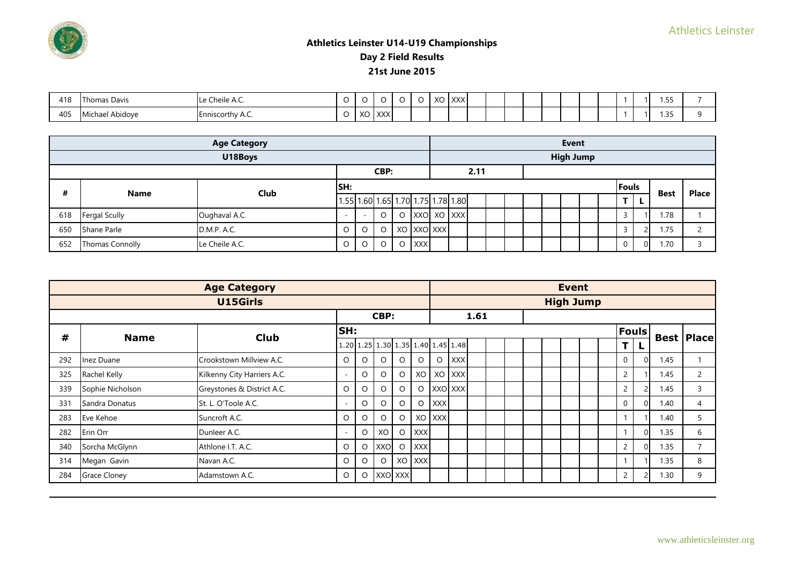

| 418 | Thomas Davis                        | $\cdot$ .<br>$\sim$<br><b>He Cheile A.C.</b> |         |                 |                           | ີ | $\sqrt{2}$<br>∼ | $\sim$ IVVV $\sim$<br>'J I XXXI |  |  |  |  |  | --<br>             |  |
|-----|-------------------------------------|----------------------------------------------|---------|-----------------|---------------------------|---|-----------------|---------------------------------|--|--|--|--|--|--------------------|--|
| 405 | .<br>.<br>el Abidove<br>MĿ<br>chael | Enniscorthy A.C.                             | $\cdot$ | $\sqrt{ }$<br>∼ | $\sim$ IVVVI<br>$\lambda$ |   |                 |                                 |  |  |  |  |  | $\supset$ E<br>. ب |  |

|     |                        | <b>Age Category</b> |      |                          |         |         |            |            |                                    |      |  |  | <b>Event</b>     |  |          |          |             |              |
|-----|------------------------|---------------------|------|--------------------------|---------|---------|------------|------------|------------------------------------|------|--|--|------------------|--|----------|----------|-------------|--------------|
|     |                        | U18Boys             |      |                          |         |         |            |            |                                    |      |  |  | <b>High Jump</b> |  |          |          |             |              |
|     |                        |                     |      |                          | CBP:    |         |            |            |                                    | 2.11 |  |  |                  |  |          |          |             |              |
| #   | <b>Name</b>            | Club                | ISH: |                          |         |         |            |            |                                    |      |  |  |                  |  | Fouls    |          | <b>Best</b> | <b>Place</b> |
|     |                        |                     |      |                          |         |         |            |            | 1.55 1.60 1.65 1.70 1.75 1.78 1.80 |      |  |  |                  |  | Т        | <b>L</b> |             |              |
| 618 | <b>Fergal Scully</b>   | Oughaval A.C.       |      | $\overline{\phantom{a}}$ | O       | $\circ$ |            |            | XXO XO XXX                         |      |  |  |                  |  |          |          | 1.78        |              |
| 650 | Shane Parle            | D.M.P. A.C.         | U    | $\circ$                  | $\circ$ |         |            | XO XXO XXX |                                    |      |  |  |                  |  |          |          | 1.75        |              |
| 652 | <b>Thomas Connolly</b> | Le Cheile A.C.      | O    | $\circ$                  | $\circ$ | $\circ$ | <b>XXX</b> |            |                                    |      |  |  |                  |  | $\Omega$ | ΟI       | 1.70        |              |

|     |                     | <b>Age Category</b>         |     |         |         |         |            |            |                                    |      |  |  | <b>Event</b>     |  |                |              |      |                     |
|-----|---------------------|-----------------------------|-----|---------|---------|---------|------------|------------|------------------------------------|------|--|--|------------------|--|----------------|--------------|------|---------------------|
|     |                     | U15Girls                    |     |         |         |         |            |            |                                    |      |  |  | <b>High Jump</b> |  |                |              |      |                     |
|     |                     |                             |     |         | CBP:    |         |            |            |                                    | 1.61 |  |  |                  |  |                |              |      |                     |
| #   | <b>Name</b>         | <b>Club</b>                 | SH: |         |         |         |            |            |                                    |      |  |  |                  |  |                | <b>Fouls</b> |      | <b>Best   Place</b> |
|     |                     |                             |     |         |         |         |            |            | 1.20 1.25 1.30 1.35 1.40 1.45 1.48 |      |  |  |                  |  | т              |              |      |                     |
| 292 | Inez Duane          | Crookstown Millview A.C.    | O   | $\circ$ | O       | $\circ$ | $\circ$    | $\circ$    | <b>XXX</b>                         |      |  |  |                  |  | $\mathbf{0}$   |              | 1.45 |                     |
| 325 | Rachel Kelly        | Kilkenny City Harriers A.C. | ۰   | $\circ$ | $\circ$ | $\circ$ |            |            | XO XO XXX                          |      |  |  |                  |  | 2              |              | 1.45 | $\overline{2}$      |
| 339 | Sophie Nicholson    | Greystones & District A.C.  | O   | $\circ$ | $\circ$ | $\circ$ | $\circ$    |            | XXO XXX                            |      |  |  |                  |  | $\overline{2}$ |              | 1.45 | 3                   |
| 331 | Sandra Donatus      | St. L. O'Toole A.C.         |     | $\circ$ | O       | $\circ$ | $\circ$    | <b>XXX</b> |                                    |      |  |  |                  |  | $\mathbf 0$    |              | 1.40 | 4                   |
| 283 | Eve Kehoe           | Suncroft A.C.               | O   | $\circ$ | $\circ$ | $\circ$ |            | XO XXX     |                                    |      |  |  |                  |  |                |              | 1.40 | 5                   |
| 282 | Erin Orr            | Dunleer A.C.                | ۰   | $\circ$ | XO      | $\circ$ | <b>XXX</b> |            |                                    |      |  |  |                  |  |                |              | 1.35 | 6                   |
| 340 | Sorcha McGlynn      | Athlone I.T. A.C.           | O   | $\circ$ | XXO     | $\circ$ | <b>XXX</b> |            |                                    |      |  |  |                  |  | 2              | $\Omega$     | 1.35 | $\overline{7}$      |
| 314 | Megan Gavin         | Navan A.C.                  | O   | $\circ$ | $\circ$ |         | XO XXX     |            |                                    |      |  |  |                  |  |                |              | 1.35 | 8                   |
| 284 | <b>Grace Cloney</b> | Adamstown A.C.              | O   | O       | XXO XXX |         |            |            |                                    |      |  |  |                  |  | $\overline{2}$ |              | 1.30 | 9                   |